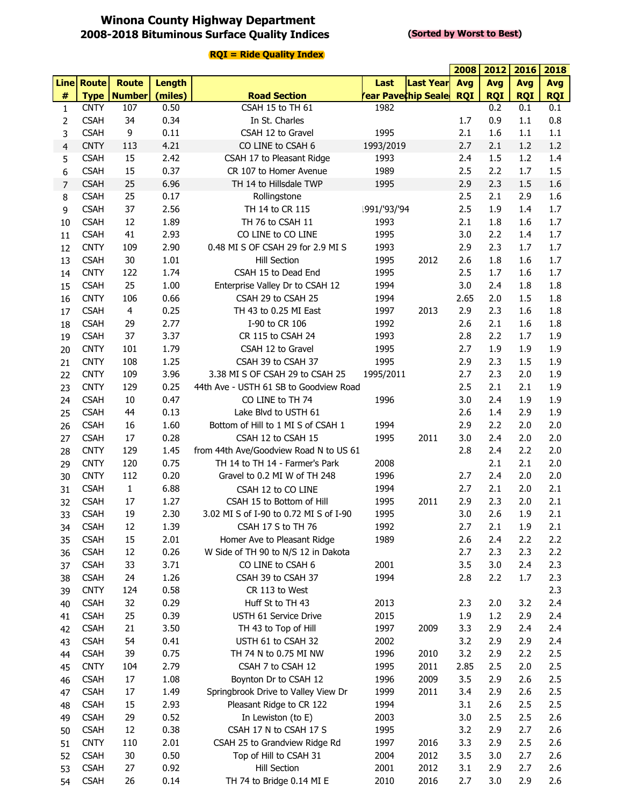## **Winona County Highway Department 2008-2018 Bituminous Surface Quality Indices**

#### **(Sorted by Worst to Best)**

|                |                            |                         |               |                                         |                            |                  | 2008       | 2012       | 2016       | 2018       |
|----------------|----------------------------|-------------------------|---------------|-----------------------------------------|----------------------------|------------------|------------|------------|------------|------------|
|                | <b>Line Route</b>          | <b>Route</b>            | <b>Length</b> |                                         | Last                       | <b>Last Year</b> | Avg        | Avg        | Avg        | <b>Avg</b> |
| #              |                            | <b>Type   Number</b>    | (miles)       | <b>Road Section</b>                     | <b>rear Pave¢hip Seale</b> |                  | <b>RQI</b> | <b>RQI</b> | <b>RQI</b> | <b>RQI</b> |
| $\mathbf{1}$   | <b>CNTY</b>                | 107                     | 0.50          | CSAH 15 to TH 61                        | 1982                       |                  |            | 0.2        | 0.1        | 0.1        |
| 2              | <b>CSAH</b>                | 34                      | 0.34          | In St. Charles                          |                            |                  | 1.7        | 0.9        | 1.1        | 0.8        |
| 3              | <b>CSAH</b>                | 9                       | 0.11          | CSAH 12 to Gravel                       | 1995                       |                  | 2.1        | 1.6        | 1.1        | 1.1        |
| 4              | <b>CNTY</b>                | 113                     | 4.21          | CO LINE to CSAH 6                       | 1993/2019                  |                  | 2.7        | 2.1        | 1.2        | 1.2        |
| 5              | <b>CSAH</b>                | 15                      | 2.42          | CSAH 17 to Pleasant Ridge               | 1993                       |                  | 2.4        | 1.5        | 1.2        | 1.4        |
| 6              | <b>CSAH</b>                | 15                      | 0.37          | CR 107 to Homer Avenue                  | 1989                       |                  | 2.5        | 2.2        | 1.7        | 1.5        |
| $\overline{7}$ | <b>CSAH</b>                | 25                      | 6.96          | TH 14 to Hillsdale TWP                  | 1995                       |                  | 2.9        | 2.3        | 1.5        | 1.6        |
| 8              | <b>CSAH</b>                | 25                      | 0.17          | Rollingstone                            |                            |                  | 2.5        | 2.1        | 2.9        | 1.6        |
| 9              | <b>CSAH</b>                | 37                      | 2.56          | TH 14 to CR 115                         | 1991/'93/'94               |                  | 2.5        | 1.9        | 1.4        | 1.7        |
| 10             | <b>CSAH</b>                | 12                      | 1.89          | TH 76 to CSAH 11                        | 1993                       |                  | 2.1        | 1.8        | 1.6        | 1.7        |
| 11             | <b>CSAH</b>                | 41                      | 2.93          | CO LINE to CO LINE                      | 1995                       |                  | 3.0        | 2.2        | 1.4        | 1.7        |
| 12             | <b>CNTY</b>                | 109                     | 2.90          | 0.48 MI S OF CSAH 29 for 2.9 MI S       | 1993                       |                  | 2.9        | 2.3        | 1.7        | 1.7        |
| 13             | <b>CSAH</b>                | 30                      | 1.01          | <b>Hill Section</b>                     | 1995                       | 2012             | 2.6        | 1.8        | 1.6        | 1.7        |
| 14             | <b>CNTY</b>                | 122                     | 1.74          | CSAH 15 to Dead End                     | 1995                       |                  | 2.5        | 1.7        | 1.6        | 1.7        |
| 15             | <b>CSAH</b>                | 25                      | 1.00          | Enterprise Valley Dr to CSAH 12         | 1994                       |                  | 3.0        | 2.4        | 1.8        | 1.8        |
| 16             | <b>CNTY</b>                | 106                     | 0.66          | CSAH 29 to CSAH 25                      | 1994                       |                  | 2.65       | 2.0        | 1.5        | 1.8        |
| 17             | <b>CSAH</b>                | $\overline{\mathbf{4}}$ | 0.25          | TH 43 to 0.25 MI East                   | 1997                       | 2013             | 2.9        | 2.3        | 1.6        | 1.8        |
| 18             | <b>CSAH</b>                | 29                      | 2.77          | I-90 to CR 106                          | 1992                       |                  | 2.6        | 2.1        | 1.6        | 1.8        |
| 19             | <b>CSAH</b>                | 37                      | 3.37          | CR 115 to CSAH 24                       | 1993                       |                  | 2.8        | 2.2        | 1.7        | 1.9        |
| 20             | <b>CNTY</b>                | 101                     | 1.79          | CSAH 12 to Gravel                       | 1995                       |                  | 2.7        | 1.9        | 1.9        | 1.9        |
| 21             | <b>CNTY</b>                | 108                     | 1.25          | CSAH 39 to CSAH 37                      | 1995                       |                  | 2.9        | 2.3        | 1.5        | 1.9        |
| 22             | <b>CNTY</b>                | 109                     | 3.96          | 3.38 MI S OF CSAH 29 to CSAH 25         | 1995/2011                  |                  | 2.7        | 2.3        | 2.0        | 1.9        |
| 23             | <b>CNTY</b>                | 129                     | 0.25          | 44th Ave - USTH 61 SB to Goodview Road  |                            |                  | 2.5        | 2.1        | 2.1        | 1.9        |
| 24             | <b>CSAH</b>                | 10                      | 0.47          | CO LINE to TH 74                        | 1996                       |                  | 3.0        | 2.4        | 1.9        | 1.9        |
| 25             | <b>CSAH</b>                | 44                      | 0.13          | Lake Blvd to USTH 61                    |                            |                  | 2.6        | 1.4        | 2.9        | 1.9        |
| 26             | <b>CSAH</b>                | 16                      | 1.60          | Bottom of Hill to 1 MI S of CSAH 1      | 1994                       |                  | 2.9        | 2.2        | 2.0        | 2.0        |
| 27             | <b>CSAH</b>                | 17                      | 0.28          | CSAH 12 to CSAH 15                      | 1995                       | 2011             | 3.0        | 2.4        | 2.0        | 2.0        |
| 28             | <b>CNTY</b>                | 129                     | 1.45          | from 44th Ave/Goodview Road N to US 61  |                            |                  | 2.8        | 2.4        | 2.2        | 2.0        |
| 29             | <b>CNTY</b>                | 120                     | 0.75          | TH 14 to TH 14 - Farmer's Park          | 2008                       |                  |            | 2.1        | 2.1        | 2.0        |
| 30             | <b>CNTY</b>                | 112                     | 0.20          | Gravel to 0.2 MI W of TH 248            | 1996                       |                  | 2.7        | 2.4        | 2.0        | 2.0        |
| 31             | <b>CSAH</b>                | $\mathbf 1$             | 6.88          | CSAH 12 to CO LINE                      | 1994                       |                  | 2.7        | 2.1        | 2.0        | 2.1        |
| 32             | <b>CSAH</b>                | 17                      | 1.27          | CSAH 15 to Bottom of Hill               | 1995                       | 2011             | 2.9        | 2.3        | 2.0        | 2.1        |
| 33             | <b>CSAH</b>                | 19                      | 2.30          | 3.02 MI S of I-90 to 0.72 MI S of I-90  | 1995                       |                  | 3.0        | 2.6        | 1.9        | 2.1        |
| 34             | <b>CSAH</b>                | 12                      | 1.39          | CSAH 17 S to TH 76                      | 1992                       |                  | 2.7<br>2.6 | 2.1        | 1.9<br>2.2 | 2.1        |
| 35             | <b>CSAH</b>                | 15                      | 2.01          | Homer Ave to Pleasant Ridge             | 1989                       |                  |            | 2.4        | 2.3        | 2.2        |
| 36             | <b>CSAH</b>                | 12                      | 0.26          | W Side of TH 90 to N/S 12 in Dakota     | 2001                       |                  | 2.7<br>3.5 | 2.3<br>3.0 | 2.4        | 2.2        |
| 37             | <b>CSAH</b><br><b>CSAH</b> | 33<br>24                | 3.71<br>1.26  | CO LINE to CSAH 6<br>CSAH 39 to CSAH 37 | 1994                       |                  | 2.8        | 2.2        | 1.7        | 2.3<br>2.3 |
| 38<br>39       | <b>CNTY</b>                | 124                     | 0.58          | CR 113 to West                          |                            |                  |            |            |            | 2.3        |
| 40             | <b>CSAH</b>                | 32                      | 0.29          | Huff St to TH 43                        | 2013                       |                  | 2.3        | 2.0        | 3.2        | 2.4        |
| 41             | <b>CSAH</b>                | 25                      | 0.39          | USTH 61 Service Drive                   | 2015                       |                  | 1.9        | 1.2        | 2.9        | 2.4        |
| 42             | <b>CSAH</b>                | 21                      | 3.50          | TH 43 to Top of Hill                    | 1997                       | 2009             | 3.3        | 2.9        | 2.4        | 2.4        |
|                | <b>CSAH</b>                | 54                      | 0.41          | USTH 61 to CSAH 32                      | 2002                       |                  | 3.2        | 2.9        | 2.9        | 2.4        |
| 43<br>44       | <b>CSAH</b>                | 39                      | 0.75          | TH 74 N to 0.75 MI NW                   | 1996                       | 2010             | 3.2        | 2.9        | 2.2        | 2.5        |
|                | <b>CNTY</b>                | 104                     | 2.79          | CSAH 7 to CSAH 12                       | 1995                       | 2011             | 2.85       | 2.5        | 2.0        | 2.5        |
| 45<br>46       | <b>CSAH</b>                | 17                      | 1.08          | Boynton Dr to CSAH 12                   | 1996                       | 2009             | 3.5        | 2.9        | 2.6        | 2.5        |
| 47             | <b>CSAH</b>                | 17                      | 1.49          | Springbrook Drive to Valley View Dr     | 1999                       | 2011             | 3.4        | 2.9        | 2.6        | 2.5        |
|                | <b>CSAH</b>                | 15                      | 2.93          | Pleasant Ridge to CR 122                | 1994                       |                  | 3.1        | 2.6        | 2.5        | 2.5        |
| 48             | <b>CSAH</b>                | 29                      | 0.52          | In Lewiston (to E)                      | 2003                       |                  | 3.0        | 2.5        | 2.5        | 2.6        |
| 49<br>50       | <b>CSAH</b>                | 12                      | 0.38          | CSAH 17 N to CSAH 17 S                  | 1995                       |                  | 3.2        | 2.9        | 2.7        | 2.6        |
| 51             | <b>CNTY</b>                | 110                     | 2.01          | CSAH 25 to Grandview Ridge Rd           | 1997                       | 2016             | 3.3        | 2.9        | 2.5        | 2.6        |
| 52             | <b>CSAH</b>                | 30                      | 0.50          | Top of Hill to CSAH 31                  | 2004                       | 2012             | 3.5        | 3.0        | 2.7        | 2.6        |
| 53             | <b>CSAH</b>                | 27                      | 0.92          | <b>Hill Section</b>                     | 2001                       | 2012             | 3.1        | 2.9        | 2.7        | 2.6        |
| 54             | <b>CSAH</b>                | 26                      | 0.14          | TH 74 to Bridge 0.14 MI E               | 2010                       | 2016             | 2.7        | 3.0        | 2.9        | 2.6        |
|                |                            |                         |               |                                         |                            |                  |            |            |            |            |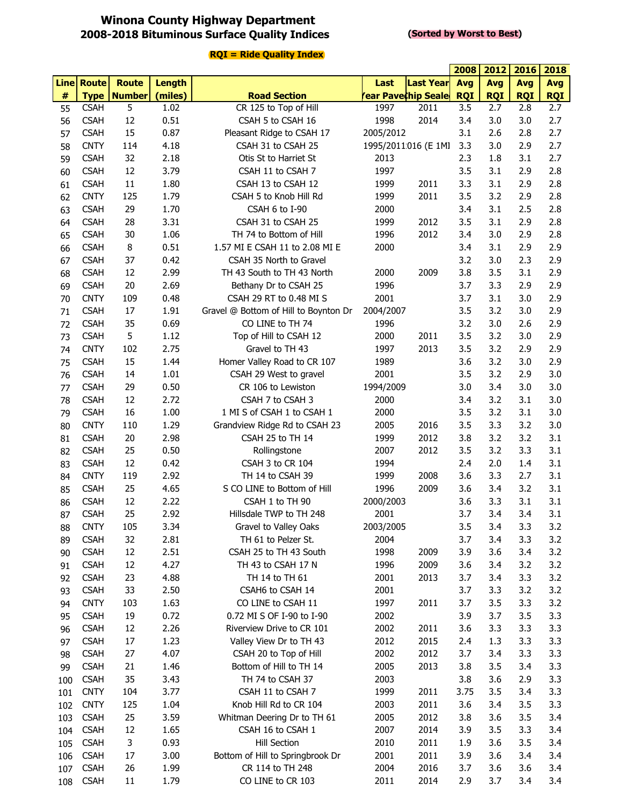### **Winona County Highway Department 2008-2018 Bituminous Surface Quality Indices**

#### **(Sorted by Worst to Best)**

|             |              |               |               |                                       |           |                            | 2008       | 2012       | 2016       | 2018       |
|-------------|--------------|---------------|---------------|---------------------------------------|-----------|----------------------------|------------|------------|------------|------------|
| <b>Line</b> | <b>Route</b> | <b>Route</b>  | <b>Length</b> |                                       | Last      | <b>Last Year</b>           | Avg        | Avg        | Avg        | Avg        |
| $\#$        | <b>Type</b>  | <b>Number</b> | (miles)       | <b>Road Section</b>                   |           | <b>rear Pavechip Seale</b> | <b>RQI</b> | <b>RQI</b> | <b>RQI</b> | <b>RQI</b> |
| 55          | <b>CSAH</b>  | 5             | 1.02          | CR 125 to Top of Hill                 | 1997      | 2011                       | 3.5        | 2.7        | 2.8        | 2.7        |
| 56          | <b>CSAH</b>  | 12            | 0.51          | CSAH 5 to CSAH 16                     | 1998      | 2014                       | 3.4        | 3.0        | 3.0        | 2.7        |
| 57          | <b>CSAH</b>  | 15            | 0.87          | Pleasant Ridge to CSAH 17             | 2005/2012 |                            | 3.1        | 2.6        | 2.8        | 2.7        |
| 58          | <b>CNTY</b>  | 114           | 4.18          | CSAH 31 to CSAH 25                    |           | 1995/2011/016 (E 1MI       | 3.3        | 3.0        | 2.9        | 2.7        |
| 59          | <b>CSAH</b>  | 32            | 2.18          | Otis St to Harriet St                 | 2013      |                            | 2.3        | 1.8        | 3.1        | 2.7        |
| 60          | <b>CSAH</b>  | 12            | 3.79          | CSAH 11 to CSAH 7                     | 1997      |                            | 3.5        | 3.1        | 2.9        | 2.8        |
| 61          | <b>CSAH</b>  | 11            | 1.80          | CSAH 13 to CSAH 12                    | 1999      | 2011                       | 3.3        | 3.1        | 2.9        | 2.8        |
| 62          | <b>CNTY</b>  | 125           | 1.79          | CSAH 5 to Knob Hill Rd                | 1999      | 2011                       | 3.5        | 3.2        | 2.9        | 2.8        |
| 63          | <b>CSAH</b>  | 29            | 1.70          | CSAH 6 to I-90                        | 2000      |                            | 3.4        | 3.1        | 2.5        | 2.8        |
| 64          | <b>CSAH</b>  | 28            | 3.31          | CSAH 31 to CSAH 25                    | 1999      | 2012                       | 3.5        | 3.1        | 2.9        | 2.8        |
| 65          | <b>CSAH</b>  | 30            | 1.06          | TH 74 to Bottom of Hill               | 1996      | 2012                       | 3.4        | 3.0        | 2.9        | 2.8        |
| 66          | <b>CSAH</b>  | 8             | 0.51          | 1.57 MI E CSAH 11 to 2.08 MI E        | 2000      |                            | 3.4        | 3.1        | 2.9        | 2.9        |
| 67          | <b>CSAH</b>  | 37            | 0.42          | CSAH 35 North to Gravel               |           |                            | 3.2        | 3.0        | 2.3        | 2.9        |
| 68          | <b>CSAH</b>  | 12            | 2.99          | TH 43 South to TH 43 North            | 2000      | 2009                       | 3.8        | 3.5        | 3.1        | 2.9        |
| 69          | <b>CSAH</b>  | 20            | 2.69          | Bethany Dr to CSAH 25                 | 1996      |                            | 3.7        | 3.3        | 2.9        | 2.9        |
| 70          | <b>CNTY</b>  | 109           | 0.48          | CSAH 29 RT to 0.48 MI S               | 2001      |                            | 3.7        | 3.1        | 3.0        | 2.9        |
| 71          | <b>CSAH</b>  | 17            | 1.91          | Gravel @ Bottom of Hill to Boynton Dr | 2004/2007 |                            | 3.5        | 3.2        | 3.0        | 2.9        |
| 72          | <b>CSAH</b>  | 35            | 0.69          | CO LINE to TH 74                      | 1996      |                            | 3.2        | 3.0        | 2.6        | 2.9        |
| 73          | <b>CSAH</b>  | 5             | 1.12          | Top of Hill to CSAH 12                | 2000      | 2011                       | 3.5        | 3.2        | 3.0        | 2.9        |
| 74          | <b>CNTY</b>  | 102           | 2.75          | Gravel to TH 43                       | 1997      | 2013                       | 3.5        | 3.2        | 2.9        | 2.9        |
| 75          | <b>CSAH</b>  | 15            | 1.44          | Homer Valley Road to CR 107           | 1989      |                            | 3.6        | 3.2        | 3.0        | 2.9        |
| 76          | <b>CSAH</b>  | 14            | 1.01          | CSAH 29 West to gravel                | 2001      |                            | 3.5        | 3.2        | 2.9        | 3.0        |
| 77          | <b>CSAH</b>  | 29            | 0.50          | CR 106 to Lewiston                    | 1994/2009 |                            | 3.0        | 3.4        | 3.0        | 3.0        |
| 78          | <b>CSAH</b>  | 12            | 2.72          | CSAH 7 to CSAH 3                      | 2000      |                            | 3.4        | 3.2        | 3.1        | 3.0        |
| 79          | <b>CSAH</b>  | 16            | 1.00          | 1 MI S of CSAH 1 to CSAH 1            | 2000      |                            | 3.5        | 3.2        | 3.1        | 3.0        |
| 80          | <b>CNTY</b>  | 110           | 1.29          | Grandview Ridge Rd to CSAH 23         | 2005      | 2016                       | 3.5        | 3.3        | 3.2        | 3.0        |
| 81          | <b>CSAH</b>  | 20            | 2.98          | CSAH 25 to TH 14                      | 1999      | 2012                       | 3.8        | 3.2        | 3.2        | 3.1        |
| 82          | <b>CSAH</b>  | 25            | 0.50          | Rollingstone                          | 2007      | 2012                       | 3.5        | 3.2        | 3.3        | 3.1        |
| 83          | <b>CSAH</b>  | 12            | 0.42          | CSAH 3 to CR 104                      | 1994      |                            | 2.4        | 2.0        | 1.4        | 3.1        |
| 84          | <b>CNTY</b>  | 119           | 2.92          | TH 14 to CSAH 39                      | 1999      | 2008                       | 3.6        | 3.3        | 2.7        | 3.1        |
| 85          | <b>CSAH</b>  | 25            | 4.65          | S CO LINE to Bottom of Hill           | 1996      | 2009                       | 3.6        | 3.4        | 3.2        | 3.1        |
| 86          | <b>CSAH</b>  | 12            | 2.22          | CSAH 1 to TH 90                       | 2000/2003 |                            | 3.6        | 3.3        | 3.1        | 3.1        |
| 87          | <b>CSAH</b>  | 25            | 2.92          | Hillsdale TWP to TH 248               | 2001      |                            | 3.7        | 3.4        | 3.4        | 3.1        |
| 88          | <b>CNTY</b>  | 105           | 3.34          | Gravel to Valley Oaks                 | 2003/2005 |                            | 3.5        | 3.4        | 3.3        | 3.2        |
| 89          | <b>CSAH</b>  | 32            | 2.81          | TH 61 to Pelzer St.                   | 2004      |                            | 3.7        | 3.4        | 3.3        | 3.2        |
| 90          | <b>CSAH</b>  | 12            | 2.51          | CSAH 25 to TH 43 South                | 1998      | 2009                       | 3.9        | 3.6        | 3.4        | 3.2        |
| 91          | <b>CSAH</b>  | 12            | 4.27          | TH 43 to CSAH 17 N                    | 1996      | 2009                       | 3.6        | 3.4        | 3.2        | 3.2        |
| 92          | <b>CSAH</b>  | 23            | 4.88          | TH 14 to TH 61                        | 2001      | 2013                       | 3.7        | 3.4        | 3.3        | 3.2        |
| 93          | <b>CSAH</b>  | 33            | 2.50          | CSAH6 to CSAH 14                      | 2001      |                            | 3.7        | 3.3        | 3.2        | 3.2        |
| 94          | <b>CNTY</b>  | 103           | 1.63          | CO LINE to CSAH 11                    | 1997      | 2011                       | 3.7        | 3.5        | 3.3        | 3.2        |
| 95          | <b>CSAH</b>  | 19            | 0.72          | 0.72 MI S OF I-90 to I-90             | 2002      |                            | 3.9        | 3.7        | 3.5        | 3.3        |
| 96          | <b>CSAH</b>  | 12            | 2.26          | Riverview Drive to CR 101             | 2002      | 2011                       | 3.6        | 3.3        | 3.3        | 3.3        |
| 97          | <b>CSAH</b>  | 17            | 1.23          | Valley View Dr to TH 43               | 2012      | 2015                       | 2.4        | 1.3        | 3.3        | 3.3        |
| 98          | <b>CSAH</b>  | 27            | 4.07          | CSAH 20 to Top of Hill                | 2002      | 2012                       | 3.7        | 3.4        | 3.3        | 3.3        |
| 99          | <b>CSAH</b>  | 21            | 1.46          | Bottom of Hill to TH 14               | 2005      | 2013                       | 3.8        | 3.5        | 3.4        | 3.3        |
| 100         | <b>CSAH</b>  | 35            | 3.43          | TH 74 to CSAH 37                      | 2003      |                            | 3.8        | 3.6        | 2.9        | 3.3        |
| 101         | <b>CNTY</b>  | 104           | 3.77          | CSAH 11 to CSAH 7                     | 1999      | 2011                       | 3.75       | 3.5        | 3.4        | 3.3        |
| 102         | <b>CNTY</b>  | 125           | 1.04          | Knob Hill Rd to CR 104                | 2003      | 2011                       | 3.6        | 3.4        | 3.5        | 3.3        |
| 103         | <b>CSAH</b>  | 25            | 3.59          | Whitman Deering Dr to TH 61           | 2005      | 2012                       | 3.8        | 3.6        | 3.5        | 3.4        |
| 104         | <b>CSAH</b>  | 12            | 1.65          | CSAH 16 to CSAH 1                     | 2007      | 2014                       | 3.9        | 3.5        | 3.3        | 3.4        |
| 105         | <b>CSAH</b>  | 3             | 0.93          | <b>Hill Section</b>                   | 2010      | 2011                       | 1.9        | 3.6        | 3.5        | 3.4        |
| 106         | <b>CSAH</b>  | 17            | 3.00          | Bottom of Hill to Springbrook Dr      | 2001      | 2011                       | 3.9        | 3.6        | 3.4        | 3.4        |
| 107         | <b>CSAH</b>  | 26            | 1.99          | CR 114 to TH 248                      | 2004      | 2016                       | 3.7        | 3.6        | 3.6        | 3.4        |
| 108         | <b>CSAH</b>  | 11            | 1.79          | CO LINE to CR 103                     | 2011      | 2014                       | 2.9        | 3.7        | 3.4        | 3.4        |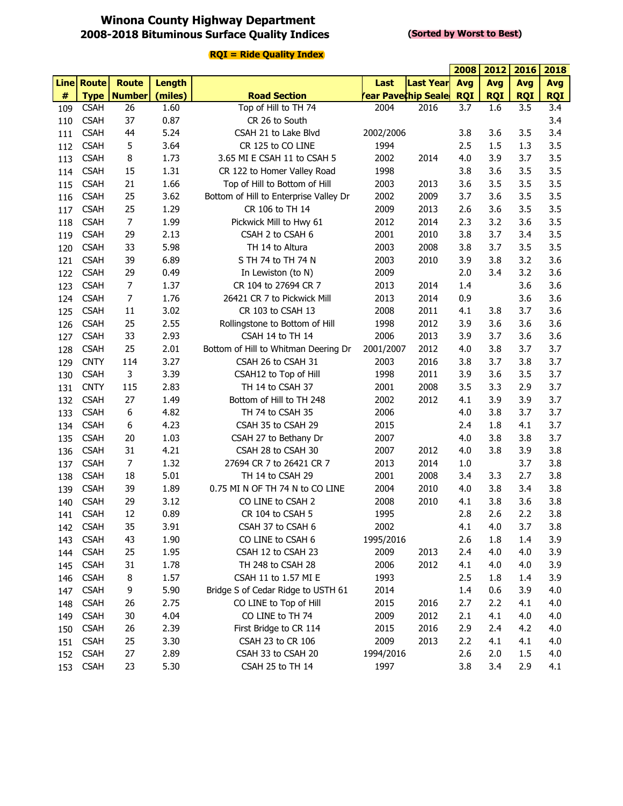### **Winona County Highway Department 2008-2018 Bituminous Surface Quality Indices**

#### **(Sorted by Worst to Best)**

|      |                   |                    |               |                                        |           |                           | 2008       | 2012       | 2016       | 2018       |
|------|-------------------|--------------------|---------------|----------------------------------------|-----------|---------------------------|------------|------------|------------|------------|
|      | <b>Line Route</b> | <b>Route</b>       | <b>Length</b> |                                        | Last      | <b>Last Year</b>          | Avg        | Avg        | <b>Avg</b> | Avg        |
| $\#$ |                   | <b>Type Number</b> | (miles)       | <b>Road Section</b>                    |           | <b>ear Pavechip Seale</b> | <b>RQI</b> | <b>RQI</b> | <b>RQI</b> | <b>RQI</b> |
| 109  | <b>CSAH</b>       | 26                 | 1.60          | Top of Hill to TH 74                   | 2004      | 2016                      | 3.7        | 1.6        | 3.5        | 3.4        |
| 110  | <b>CSAH</b>       | 37                 | 0.87          | CR 26 to South                         |           |                           |            |            |            | 3.4        |
| 111  | <b>CSAH</b>       | 44                 | 5.24          | CSAH 21 to Lake Blvd                   | 2002/2006 |                           | 3.8        | 3.6        | 3.5        | 3.4        |
| 112  | <b>CSAH</b>       | 5                  | 3.64          | CR 125 to CO LINE                      | 1994      |                           | 2.5        | 1.5        | 1.3        | 3.5        |
| 113  | <b>CSAH</b>       | 8                  | 1.73          | 3.65 MI E CSAH 11 to CSAH 5            | 2002      | 2014                      | 4.0        | 3.9        | 3.7        | 3.5        |
| 114  | <b>CSAH</b>       | 15                 | 1.31          | CR 122 to Homer Valley Road            | 1998      |                           | 3.8        | 3.6        | 3.5        | 3.5        |
| 115  | <b>CSAH</b>       | 21                 | 1.66          | Top of Hill to Bottom of Hill          | 2003      | 2013                      | 3.6        | 3.5        | 3.5        | 3.5        |
| 116  | <b>CSAH</b>       | 25                 | 3.62          | Bottom of Hill to Enterprise Valley Dr | 2002      | 2009                      | 3.7        | 3.6        | 3.5        | 3.5        |
| 117  | <b>CSAH</b>       | 25                 | 1.29          | CR 106 to TH 14                        | 2009      | 2013                      | 2.6        | 3.6        | 3.5        | 3.5        |
| 118  | <b>CSAH</b>       | $\overline{7}$     | 1.99          | Pickwick Mill to Hwy 61                | 2012      | 2014                      | 2.3        | 3.2        | 3.6        | 3.5        |
| 119  | <b>CSAH</b>       | 29                 | 2.13          | CSAH 2 to CSAH 6                       | 2001      | 2010                      | 3.8        | 3.7        | 3.4        | 3.5        |
| 120  | <b>CSAH</b>       | 33                 | 5.98          | TH 14 to Altura                        | 2003      | 2008                      | 3.8        | 3.7        | 3.5        | 3.5        |
| 121  | <b>CSAH</b>       | 39                 | 6.89          | S TH 74 to TH 74 N                     | 2003      | 2010                      | 3.9        | 3.8        | 3.2        | 3.6        |
| 122  | <b>CSAH</b>       | 29                 | 0.49          | In Lewiston (to N)                     | 2009      |                           | 2.0        | 3.4        | 3.2        | 3.6        |
| 123  | <b>CSAH</b>       | $\overline{7}$     | 1.37          | CR 104 to 27694 CR 7                   | 2013      | 2014                      | 1.4        |            | 3.6        | 3.6        |
| 124  | <b>CSAH</b>       | 7                  | 1.76          | 26421 CR 7 to Pickwick Mill            | 2013      | 2014                      | 0.9        |            | 3.6        | 3.6        |
| 125  | <b>CSAH</b>       | 11                 | 3.02          | CR 103 to CSAH 13                      | 2008      | 2011                      | 4.1        | 3.8        | 3.7        | 3.6        |
| 126  | <b>CSAH</b>       | 25                 | 2.55          | Rollingstone to Bottom of Hill         | 1998      | 2012                      | 3.9        | 3.6        | 3.6        | 3.6        |
| 127  | <b>CSAH</b>       | 33                 | 2.93          | CSAH 14 to TH 14                       | 2006      | 2013                      | 3.9        | 3.7        | 3.6        | 3.6        |
| 128  | <b>CSAH</b>       | 25                 | 2.01          | Bottom of Hill to Whitman Deering Dr   | 2001/2007 | 2012                      | 4.0        | 3.8        | 3.7        | 3.7        |
| 129  | <b>CNTY</b>       | 114                | 3.27          | CSAH 26 to CSAH 31                     | 2003      | 2016                      | 3.8        | 3.7        | 3.8        | 3.7        |
| 130  | <b>CSAH</b>       | 3                  | 3.39          | CSAH12 to Top of Hill                  | 1998      | 2011                      | 3.9        | 3.6        | 3.5        | 3.7        |
| 131  | <b>CNTY</b>       | 115                | 2.83          | TH 14 to CSAH 37                       | 2001      | 2008                      | 3.5        | 3.3        | 2.9        | 3.7        |
| 132  | <b>CSAH</b>       | 27                 | 1.49          | Bottom of Hill to TH 248               | 2002      | 2012                      | 4.1        | 3.9        | 3.9        | 3.7        |
| 133  | <b>CSAH</b>       | 6                  | 4.82          | TH 74 to CSAH 35                       | 2006      |                           | 4.0        | 3.8        | 3.7        | 3.7        |
| 134  | <b>CSAH</b>       | 6                  | 4.23          | CSAH 35 to CSAH 29                     | 2015      |                           | 2.4        | 1.8        | 4.1        | 3.7        |
| 135  | <b>CSAH</b>       | 20                 | 1.03          | CSAH 27 to Bethany Dr                  | 2007      |                           | 4.0        | 3.8        | 3.8        | 3.7        |
| 136  | <b>CSAH</b>       | 31                 | 4.21          | CSAH 28 to CSAH 30                     | 2007      | 2012                      | 4.0        | 3.8        | 3.9        | 3.8        |
| 137  | <b>CSAH</b>       | $\overline{7}$     | 1.32          | 27694 CR 7 to 26421 CR 7               | 2013      | 2014                      | 1.0        |            | 3.7        | 3.8        |
| 138  | <b>CSAH</b>       | 18                 | 5.01          | TH 14 to CSAH 29                       | 2001      | 2008                      | 3.4        | 3.3        | 2.7        | 3.8        |
| 139  | <b>CSAH</b>       | 39                 | 1.89          | 0.75 MI N OF TH 74 N to CO LINE        | 2004      | 2010                      | 4.0        | 3.8        | 3.4        | 3.8        |
| 140  | <b>CSAH</b>       | 29                 | 3.12          | CO LINE to CSAH 2                      | 2008      | 2010                      | 4.1        | 3.8        | 3.6        | 3.8        |
| 141  | <b>CSAH</b>       | 12                 | 0.89          | CR 104 to CSAH 5                       | 1995      |                           | 2.8        | 2.6        | 2.2        | 3.8        |
| 142  | <b>CSAH</b>       | 35                 | 3.91          | CSAH 37 to CSAH 6                      | 2002      |                           | 4.1        | 4.0        | 3.7        | 3.8        |
| 143  | <b>CSAH</b>       | 43                 | 1.90          | CO LINE to CSAH 6                      | 1995/2016 |                           | 2.6        | 1.8        | 1.4        | 3.9        |
| 144  | <b>CSAH</b>       | 25                 | 1.95          | CSAH 12 to CSAH 23                     | 2009      | 2013                      | 2.4        | 4.0        | 4.0        | 3.9        |
| 145  | <b>CSAH</b>       | 31                 | 1.78          | TH 248 to CSAH 28                      | 2006      | 2012                      | 4.1        | 4.0        | 4.0        | 3.9        |
| 146  | <b>CSAH</b>       | 8                  | 1.57          | CSAH 11 to 1.57 MI E                   | 1993      |                           | 2.5        | 1.8        | 1.4        | 3.9        |
| 147  | <b>CSAH</b>       | 9                  | 5.90          | Bridge S of Cedar Ridge to USTH 61     | 2014      |                           | 1.4        | 0.6        | 3.9        | 4.0        |
| 148  | <b>CSAH</b>       | 26                 | 2.75          | CO LINE to Top of Hill                 | 2015      | 2016                      | 2.7        | 2.2        | 4.1        | 4.0        |
| 149  | <b>CSAH</b>       | 30                 | 4.04          | CO LINE to TH 74                       | 2009      | 2012                      | 2.1        | 4.1        | 4.0        | 4.0        |
| 150  | <b>CSAH</b>       | 26                 | 2.39          | First Bridge to CR 114                 | 2015      | 2016                      | 2.9        | 2.4        | 4.2        | 4.0        |
| 151  | <b>CSAH</b>       | 25                 | 3.30          | CSAH 23 to CR 106                      | 2009      | 2013                      | 2.2        | 4.1        | 4.1        | 4.0        |
| 152  | <b>CSAH</b>       | 27                 | 2.89          | CSAH 33 to CSAH 20                     | 1994/2016 |                           | 2.6        | 2.0        | 1.5        | 4.0        |
| 153  | <b>CSAH</b>       | 23                 | 5.30          | CSAH 25 to TH 14                       | 1997      |                           | 3.8        | 3.4        | 2.9        | 4.1        |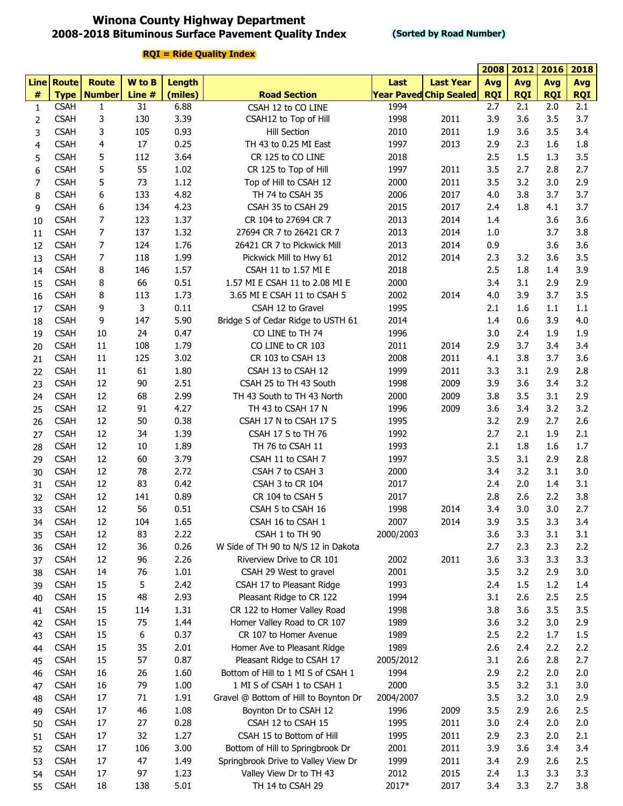### **Winona County Highway Department 2008-2018 Bituminous Surface Pavement Quality Index**

#### **(Sorted by Road Number)**

|                |             |                      |        |               |                                       |           |                               | 2008       | 2012       | 2016       | 2018       |
|----------------|-------------|----------------------|--------|---------------|---------------------------------------|-----------|-------------------------------|------------|------------|------------|------------|
|                | Line Route  | <b>Route</b>         | W to B | <b>Length</b> |                                       | Last      | <b>Last Year</b>              | Avg        | <b>Avg</b> | Avg        | <b>Avg</b> |
| $\#$           |             | <b>Type   Number</b> | Line # | (miles)       | <b>Road Section</b>                   |           | <b>Year Paved Chip Sealed</b> | <b>RQI</b> | <b>RQI</b> | <b>RQI</b> | <b>RQI</b> |
| $\mathbf{1}$   | <b>CSAH</b> | $\mathbf{1}$         | 31     | 6.88          | CSAH 12 to CO LINE                    | 1994      |                               | 2.7        | 2.1        | 2.0        | 2.1        |
| $\overline{2}$ | <b>CSAH</b> | 3                    | 130    | 3.39          | CSAH12 to Top of Hill                 | 1998      | 2011                          | 3.9        | 3.6        | 3.5        | 3.7        |
| 3              | <b>CSAH</b> | 3                    | 105    | 0.93          | <b>Hill Section</b>                   | 2010      | 2011                          | 1.9        | 3.6        | 3.5        | 3.4        |
| 4              | <b>CSAH</b> | 4                    | 17     | 0.25          | TH 43 to 0.25 MI East                 | 1997      | 2013                          | 2.9        | 2.3        | 1.6        | 1.8        |
| 5              | <b>CSAH</b> | 5                    | 112    | 3.64          | CR 125 to CO LINE                     | 2018      |                               | 2.5        | 1.5        | 1.3        | 3.5        |
| 6              | <b>CSAH</b> | 5                    | 55     | 1.02          | CR 125 to Top of Hill                 | 1997      | 2011                          | 3.5        | 2.7        | 2.8        | 2.7        |
| 7              | <b>CSAH</b> | 5                    | 73     | 1.12          | Top of Hill to CSAH 12                | 2000      | 2011                          | 3.5        | 3.2        | 3.0        | 2.9        |
| 8              | <b>CSAH</b> | 6                    | 133    | 4.82          | TH 74 to CSAH 35                      | 2006      | 2017                          | 4.0        | 3.8        | 3.7        | 3.7        |
|                | <b>CSAH</b> | 6                    | 134    | 4.23          | CSAH 35 to CSAH 29                    | 2015      | 2017                          | 2.4        | 1.8        | 4.1        | 3.7        |
| 9              |             |                      |        |               |                                       |           |                               | 1.4        |            | 3.6        | 3.6        |
| 10             | <b>CSAH</b> | 7                    | 123    | 1.37          | CR 104 to 27694 CR 7                  | 2013      | 2014                          |            |            |            |            |
| 11             | <b>CSAH</b> | 7                    | 137    | 1.32          | 27694 CR 7 to 26421 CR 7              | 2013      | 2014                          | 1.0        |            | 3.7        | 3.8        |
| 12             | <b>CSAH</b> | 7                    | 124    | 1.76          | 26421 CR 7 to Pickwick Mill           | 2013      | 2014                          | 0.9        |            | 3.6        | 3.6        |
| 13             | <b>CSAH</b> | 7                    | 118    | 1.99          | Pickwick Mill to Hwy 61               | 2012      | 2014                          | 2.3        | 3.2        | 3.6        | 3.5        |
| 14             | <b>CSAH</b> | 8                    | 146    | 1.57          | CSAH 11 to 1.57 MI E                  | 2018      |                               | 2.5        | 1.8        | 1.4        | 3.9        |
| 15             | <b>CSAH</b> | 8                    | 66     | 0.51          | 1.57 MI E CSAH 11 to 2.08 MI E        | 2000      |                               | 3.4        | 3.1        | 2.9        | 2.9        |
| 16             | <b>CSAH</b> | 8                    | 113    | 1.73          | 3.65 MI E CSAH 11 to CSAH 5           | 2002      | 2014                          | 4.0        | 3.9        | 3.7        | 3.5        |
| 17             | <b>CSAH</b> | 9                    | 3      | 0.11          | CSAH 12 to Gravel                     | 1995      |                               | 2.1        | 1.6        | 1.1        | 1.1        |
| 18             | <b>CSAH</b> | 9                    | 147    | 5.90          | Bridge S of Cedar Ridge to USTH 61    | 2014      |                               | 1.4        | 0.6        | 3.9        | 4.0        |
| 19             | <b>CSAH</b> | 10                   | 24     | 0.47          | CO LINE to TH 74                      | 1996      |                               | 3.0        | 2.4        | 1.9        | 1.9        |
| 20             | <b>CSAH</b> | 11                   | 108    | 1.79          | CO LINE to CR 103                     | 2011      | 2014                          | 2.9        | 3.7        | 3.4        | 3.4        |
| 21             | <b>CSAH</b> | 11                   | 125    | 3.02          | CR 103 to CSAH 13                     | 2008      | 2011                          | 4.1        | 3.8        | 3.7        | 3.6        |
| 22             | <b>CSAH</b> | 11                   | 61     | 1.80          | CSAH 13 to CSAH 12                    | 1999      | 2011                          | 3.3        | 3.1        | 2.9        | 2.8        |
| 23             | <b>CSAH</b> | 12                   | 90     | 2.51          | CSAH 25 to TH 43 South                | 1998      | 2009                          | 3.9        | 3.6        | 3.4        | 3.2        |
| 24             | <b>CSAH</b> | 12                   | 68     | 2.99          | TH 43 South to TH 43 North            | 2000      | 2009                          | 3.8        | 3.5        | 3.1        | 2.9        |
| 25             | <b>CSAH</b> | 12                   | 91     | 4.27          | TH 43 to CSAH 17 N                    | 1996      | 2009                          | 3.6        | 3.4        | 3.2        | 3.2        |
| 26             | <b>CSAH</b> | 12                   | 50     | 0.38          | CSAH 17 N to CSAH 17 S                | 1995      |                               | 3.2        | 2.9        | 2.7        | 2.6        |
| 27             | <b>CSAH</b> | 12                   | 34     | 1.39          | CSAH 17 S to TH 76                    | 1992      |                               | 2.7        | 2.1        | 1.9        | 2.1        |
| 28             | <b>CSAH</b> | 12                   | 10     | 1.89          | TH 76 to CSAH 11                      | 1993      |                               | 2.1        | 1.8        | 1.6        | 1.7        |
| 29             | <b>CSAH</b> | 12                   | 60     | 3.79          | CSAH 11 to CSAH 7                     | 1997      |                               | 3.5        | 3.1        | 2.9        | 2.8        |
| 30             | <b>CSAH</b> | 12                   | 78     | 2.72          | CSAH 7 to CSAH 3                      | 2000      |                               | 3.4        | 3.2        | 3.1        | 3.0        |
| 31             | <b>CSAH</b> | 12                   | 83     | 0.42          | CSAH 3 to CR 104                      | 2017      |                               | 2.4        | 2.0        | 1.4        | 3.1        |
| 32             | <b>CSAH</b> | 12                   | 141    | 0.89          | CR 104 to CSAH 5                      | 2017      |                               | 2.8        | 2.6        | 2.2        | 3.8        |
| 33             | <b>CSAH</b> | 12                   | 56     | 0.51          | CSAH 5 to CSAH 16                     | 1998      | 2014                          | 3.4        | 3.0        | 3.0        | 2.7        |
| 34             | <b>CSAH</b> | 12                   | 104    | 1.65          | CSAH 16 to CSAH 1                     | 2007      | 2014                          | 3.9        | 3.5        | 3.3        | 3.4        |
| 35             | <b>CSAH</b> | 12                   | 83     | 2.22          | CSAH 1 to TH 90                       | 2000/2003 |                               | 3.6        | 3.3        | 3.1        | 3.1        |
| 36             | <b>CSAH</b> | 12                   | 36     | 0.26          | W Side of TH 90 to N/S 12 in Dakota   |           |                               | 2.7        | 2.3        | 2.3        | 2.2        |
| 37             | <b>CSAH</b> | 12                   | 96     | 2.26          | Riverview Drive to CR 101             | 2002      | 2011                          | 3.6        | 3.3        | 3.3        | 3.3        |
| 38             | <b>CSAH</b> | 14                   | 76     | 1.01          | CSAH 29 West to gravel                | 2001      |                               | 3.5        | 3.2        | 2.9        | 3.0        |
| 39             | <b>CSAH</b> | 15                   | 5      | 2.42          | CSAH 17 to Pleasant Ridge             | 1993      |                               | 2.4        | 1.5        | 1.2        | 1.4        |
| 40             | <b>CSAH</b> | 15                   | 48     | 2.93          | Pleasant Ridge to CR 122              | 1994      |                               | 3.1        | 2.6        | 2.5        | 2.5        |
|                | <b>CSAH</b> | 15                   | 114    | 1.31          | CR 122 to Homer Valley Road           | 1998      |                               | 3.8        | 3.6        | 3.5        | 3.5        |
| 41             | <b>CSAH</b> | 15                   | 75     |               |                                       | 1989      |                               |            | 3.2        | 3.0        |            |
| 42             |             |                      |        | 1.44          | Homer Valley Road to CR 107           |           |                               | 3.6        |            |            | 2.9        |
| 43             | <b>CSAH</b> | 15                   | 6      | 0.37          | CR 107 to Homer Avenue                | 1989      |                               | 2.5        | 2.2        | 1.7        | 1.5        |
| 44             | <b>CSAH</b> | 15                   | 35     | 2.01          | Homer Ave to Pleasant Ridge           | 1989      |                               | 2.6        | 2.4        | 2.2        | 2.2        |
| 45             | <b>CSAH</b> | 15                   | 57     | 0.87          | Pleasant Ridge to CSAH 17             | 2005/2012 |                               | 3.1        | 2.6        | 2.8        | 2.7        |
| 46             | <b>CSAH</b> | 16                   | 26     | 1.60          | Bottom of Hill to 1 MI S of CSAH 1    | 1994      |                               | 2.9        | 2.2        | 2.0        | 2.0        |
| 47             | <b>CSAH</b> | 16                   | 79     | 1.00          | 1 MI S of CSAH 1 to CSAH 1            | 2000      |                               | 3.5        | 3.2        | 3.1        | 3.0        |
| 48             | <b>CSAH</b> | 17                   | 71     | 1.91          | Gravel @ Bottom of Hill to Boynton Dr | 2004/2007 |                               | 3.5        | 3.2        | 3.0        | 2.9        |
| 49             | <b>CSAH</b> | 17                   | 46     | 1.08          | Boynton Dr to CSAH 12                 | 1996      | 2009                          | 3.5        | 2.9        | 2.6        | 2.5        |
| 50             | <b>CSAH</b> | 17                   | 27     | 0.28          | CSAH 12 to CSAH 15                    | 1995      | 2011                          | 3.0        | 2.4        | 2.0        | 2.0        |
| 51             | <b>CSAH</b> | 17                   | 32     | 1.27          | CSAH 15 to Bottom of Hill             | 1995      | 2011                          | 2.9        | 2.3        | 2.0        | 2.1        |
| 52             | <b>CSAH</b> | 17                   | 106    | 3.00          | Bottom of Hill to Springbrook Dr      | 2001      | 2011                          | 3.9        | 3.6        | 3.4        | 3.4        |
| 53             | <b>CSAH</b> | 17                   | 47     | 1.49          | Springbrook Drive to Valley View Dr   | 1999      | 2011                          | 3.4        | 2.9        | 2.6        | 2.5        |
| 54             | <b>CSAH</b> | 17                   | 97     | 1.23          | Valley View Dr to TH 43               | 2012      | 2015                          | 2.4        | 1.3        | 3.3        | 3.3        |
| 55             | <b>CSAH</b> | 18                   | 138    | 5.01          | TH 14 to CSAH 29                      | 2017*     | 2017                          | 3.4        | 3.3        | 2.7        | 3.8        |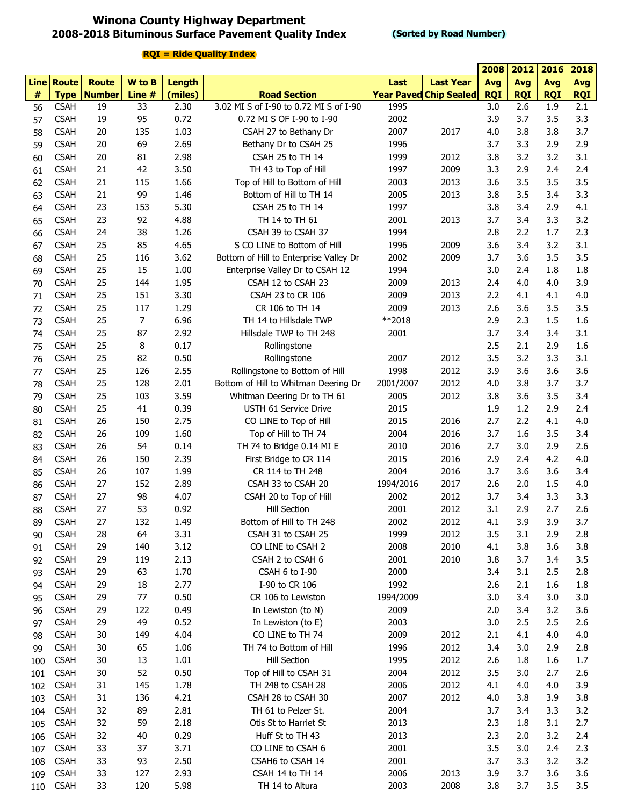### **Winona County Highway Department 2008-2018 Bituminous Surface Pavement Quality Index**

#### **(Sorted by Road Number)**

|      |             |                      |        |         |                                        |           |                               | 2008       | 2012       | 2016       | 2018       |
|------|-------------|----------------------|--------|---------|----------------------------------------|-----------|-------------------------------|------------|------------|------------|------------|
|      | Line Route  | <b>Route</b>         | W to B | Length  |                                        | Last      | <b>Last Year</b>              | Avg        | <b>Avg</b> | <b>Avg</b> | <b>Avg</b> |
| $\#$ |             | <b>Type   Number</b> | Line # | (miles) | <b>Road Section</b>                    |           | <b>Year Paved Chip Sealed</b> | <b>RQI</b> | <b>RQI</b> | <b>RQI</b> | <b>RQI</b> |
| 56   | <b>CSAH</b> | 19                   | 33     | 2.30    | 3.02 MI S of I-90 to 0.72 MI S of I-90 | 1995      |                               | 3.0        | 2.6        | 1.9        | 2.1        |
| 57   | <b>CSAH</b> | 19                   | 95     | 0.72    | 0.72 MI S OF I-90 to I-90              | 2002      |                               | 3.9        | 3.7        | 3.5        | 3.3        |
| 58   | <b>CSAH</b> | 20                   | 135    | 1.03    | CSAH 27 to Bethany Dr                  | 2007      | 2017                          | 4.0        | 3.8        | 3.8        | 3.7        |
| 59   | <b>CSAH</b> | 20                   | 69     | 2.69    | Bethany Dr to CSAH 25                  | 1996      |                               | 3.7        | 3.3        | 2.9        | 2.9        |
| 60   | <b>CSAH</b> | 20                   | 81     | 2.98    | CSAH 25 to TH 14                       | 1999      | 2012                          | 3.8        | 3.2        | 3.2        | 3.1        |
| 61   | <b>CSAH</b> | 21                   | 42     | 3.50    | TH 43 to Top of Hill                   | 1997      | 2009                          | 3.3        | 2.9        | 2.4        | 2.4        |
| 62   | <b>CSAH</b> | 21                   | 115    | 1.66    | Top of Hill to Bottom of Hill          | 2003      | 2013                          | 3.6        | 3.5        | 3.5        | 3.5        |
| 63   | <b>CSAH</b> | 21                   | 99     | 1.46    | Bottom of Hill to TH 14                | 2005      | 2013                          | 3.8        | 3.5        | 3.4        | 3.3        |
| 64   | <b>CSAH</b> | 23                   | 153    | 5.30    | CSAH 25 to TH 14                       | 1997      |                               | 3.8        | 3.4        | 2.9        | 4.1        |
| 65   | <b>CSAH</b> | 23                   | 92     | 4.88    | TH 14 to TH 61                         | 2001      | 2013                          | 3.7        | 3.4        | 3.3        | 3.2        |
| 66   | <b>CSAH</b> | 24                   | 38     | 1.26    | CSAH 39 to CSAH 37                     | 1994      |                               | 2.8        | 2.2        | 1.7        | 2.3        |
| 67   | <b>CSAH</b> | 25                   | 85     | 4.65    | S CO LINE to Bottom of Hill            | 1996      | 2009                          | 3.6        | 3.4        | 3.2        | 3.1        |
| 68   | <b>CSAH</b> | 25                   | 116    | 3.62    | Bottom of Hill to Enterprise Valley Dr | 2002      | 2009                          | 3.7        | 3.6        | 3.5        | 3.5        |
| 69   | <b>CSAH</b> | 25                   | 15     | 1.00    | Enterprise Valley Dr to CSAH 12        | 1994      |                               | 3.0        | 2.4        | 1.8        | 1.8        |
| 70   | <b>CSAH</b> | 25                   | 144    | 1.95    | CSAH 12 to CSAH 23                     | 2009      | 2013                          | 2.4        | 4.0        | 4.0        | 3.9        |
| 71   | <b>CSAH</b> | 25                   | 151    | 3.30    | CSAH 23 to CR 106                      | 2009      | 2013                          | 2.2        | 4.1        | 4.1        | 4.0        |
| 72   | <b>CSAH</b> | 25                   | 117    | 1.29    | CR 106 to TH 14                        | 2009      | 2013                          | 2.6        | 3.6        | 3.5        | 3.5        |
| 73   | <b>CSAH</b> | 25                   | 7      | 6.96    | TH 14 to Hillsdale TWP                 | **2018    |                               | 2.9        | 2.3        | 1.5        | 1.6        |
| 74   | <b>CSAH</b> | 25                   | 87     | 2.92    | Hillsdale TWP to TH 248                | 2001      |                               | 3.7        | 3.4        | 3.4        | 3.1        |
| 75   | <b>CSAH</b> | 25                   | 8      | 0.17    | Rollingstone                           |           |                               | 2.5        | 2.1        | 2.9        | 1.6        |
|      | <b>CSAH</b> | 25                   | 82     | 0.50    | Rollingstone                           | 2007      | 2012                          | 3.5        | 3.2        | 3.3        | 3.1        |
| 76   | <b>CSAH</b> | 25                   | 126    | 2.55    | Rollingstone to Bottom of Hill         | 1998      | 2012                          | 3.9        | 3.6        | 3.6        | 3.6        |
| 77   | <b>CSAH</b> | 25                   | 128    | 2.01    | Bottom of Hill to Whitman Deering Dr   |           | 2012                          | 4.0        | 3.8        | 3.7        | 3.7        |
| 78   |             | 25                   |        |         |                                        | 2001/2007 |                               |            |            | 3.5        | 3.4        |
| 79   | <b>CSAH</b> |                      | 103    | 3.59    | Whitman Deering Dr to TH 61            | 2005      | 2012                          | 3.8        | 3.6        |            |            |
| 80   | <b>CSAH</b> | 25                   | 41     | 0.39    | USTH 61 Service Drive                  | 2015      |                               | 1.9        | 1.2        | 2.9        | 2.4        |
| 81   | <b>CSAH</b> | 26                   | 150    | 2.75    | CO LINE to Top of Hill                 | 2015      | 2016                          | 2.7        | 2.2        | 4.1        | 4.0        |
| 82   | <b>CSAH</b> | 26                   | 109    | 1.60    | Top of Hill to TH 74                   | 2004      | 2016                          | 3.7        | 1.6        | 3.5        | 3.4        |
| 83   | <b>CSAH</b> | 26                   | 54     | 0.14    | TH 74 to Bridge 0.14 MI E              | 2010      | 2016                          | 2.7        | 3.0        | 2.9        | 2.6        |
| 84   | <b>CSAH</b> | 26                   | 150    | 2.39    | First Bridge to CR 114                 | 2015      | 2016                          | 2.9        | 2.4        | 4.2        | 4.0        |
| 85   | <b>CSAH</b> | 26                   | 107    | 1.99    | CR 114 to TH 248                       | 2004      | 2016                          | 3.7        | 3.6        | 3.6        | 3.4        |
| 86   | <b>CSAH</b> | 27                   | 152    | 2.89    | CSAH 33 to CSAH 20                     | 1994/2016 | 2017                          | 2.6        | 2.0        | 1.5        | 4.0        |
| 87   | <b>CSAH</b> | 27                   | 98     | 4.07    | CSAH 20 to Top of Hill                 | 2002      | 2012                          | 3.7        | 3.4        | 3.3        | 3.3        |
| 88   | <b>CSAH</b> | 27                   | 53     | 0.92    | <b>Hill Section</b>                    | 2001      | 2012                          | 3.1        | 2.9        | 2.7        | 2.6        |
| 89   | <b>CSAH</b> | 27                   | 132    | 1.49    | Bottom of Hill to TH 248               | 2002      | 2012                          | 4.1        | 3.9        | 3.9        | 3.7        |
| 90   | <b>CSAH</b> | 28                   | 64     | 3.31    | CSAH 31 to CSAH 25                     | 1999      | 2012                          | 3.5        | 3.1        | 2.9        | 2.8        |
| 91   | <b>CSAH</b> | 29                   | 140    | 3.12    | CO LINE to CSAH 2                      | 2008      | 2010                          | 4.1        | 3.8        | 3.6        | 3.8        |
| 92   | <b>CSAH</b> | 29                   | 119    | 2.13    | CSAH 2 to CSAH 6                       | 2001      | 2010                          | 3.8        | 3.7        | 3.4        | 3.5        |
| 93   | <b>CSAH</b> | 29                   | 63     | 1.70    | CSAH 6 to I-90                         | 2000      |                               | 3.4        | 3.1        | 2.5        | 2.8        |
| 94   | <b>CSAH</b> | 29                   | 18     | 2.77    | I-90 to CR 106                         | 1992      |                               | 2.6        | 2.1        | 1.6        | 1.8        |
| 95   | <b>CSAH</b> | 29                   | 77     | 0.50    | CR 106 to Lewiston                     | 1994/2009 |                               | 3.0        | 3.4        | 3.0        | 3.0        |
| 96   | <b>CSAH</b> | 29                   | 122    | 0.49    | In Lewiston (to N)                     | 2009      |                               | 2.0        | 3.4        | 3.2        | 3.6        |
| 97   | <b>CSAH</b> | 29                   | 49     | 0.52    | In Lewiston (to E)                     | 2003      |                               | 3.0        | 2.5        | 2.5        | 2.6        |
| 98   | <b>CSAH</b> | 30                   | 149    | 4.04    | CO LINE to TH 74                       | 2009      | 2012                          | 2.1        | 4.1        | 4.0        | 4.0        |
| 99   | <b>CSAH</b> | 30                   | 65     | 1.06    | TH 74 to Bottom of Hill                | 1996      | 2012                          | 3.4        | 3.0        | 2.9        | 2.8        |
| 100  | <b>CSAH</b> | 30                   | 13     | 1.01    | Hill Section                           | 1995      | 2012                          | 2.6        | 1.8        | 1.6        | 1.7        |
| 101  | <b>CSAH</b> | 30                   | 52     | 0.50    | Top of Hill to CSAH 31                 | 2004      | 2012                          | 3.5        | 3.0        | 2.7        | 2.6        |
| 102  | <b>CSAH</b> | 31                   | 145    | 1.78    | TH 248 to CSAH 28                      | 2006      | 2012                          | 4.1        | 4.0        | 4.0        | 3.9        |
| 103  | <b>CSAH</b> | 31                   | 136    | 4.21    | CSAH 28 to CSAH 30                     | 2007      | 2012                          | 4.0        | 3.8        | 3.9        | 3.8        |
| 104  | <b>CSAH</b> | 32                   | 89     | 2.81    | TH 61 to Pelzer St.                    | 2004      |                               | 3.7        | 3.4        | 3.3        | 3.2        |
| 105  | <b>CSAH</b> | 32                   | 59     | 2.18    | Otis St to Harriet St                  | 2013      |                               | 2.3        | 1.8        | 3.1        | 2.7        |
| 106  | <b>CSAH</b> | 32                   | 40     | 0.29    | Huff St to TH 43                       | 2013      |                               | 2.3        | 2.0        | 3.2        | 2.4        |
| 107  | <b>CSAH</b> | 33                   | 37     | 3.71    | CO LINE to CSAH 6                      | 2001      |                               | 3.5        | 3.0        | 2.4        | 2.3        |
| 108  | <b>CSAH</b> | 33                   | 93     | 2.50    | CSAH6 to CSAH 14                       | 2001      |                               | 3.7        | 3.3        | 3.2        | 3.2        |
| 109  | <b>CSAH</b> | 33                   | 127    | 2.93    | CSAH 14 to TH 14                       | 2006      | 2013                          | 3.9        | 3.7        | 3.6        | 3.6        |
| 110  | <b>CSAH</b> | 33                   | 120    | 5.98    | TH 14 to Altura                        | 2003      | 2008                          | 3.8        | 3.7        | 3.5        | 3.5        |